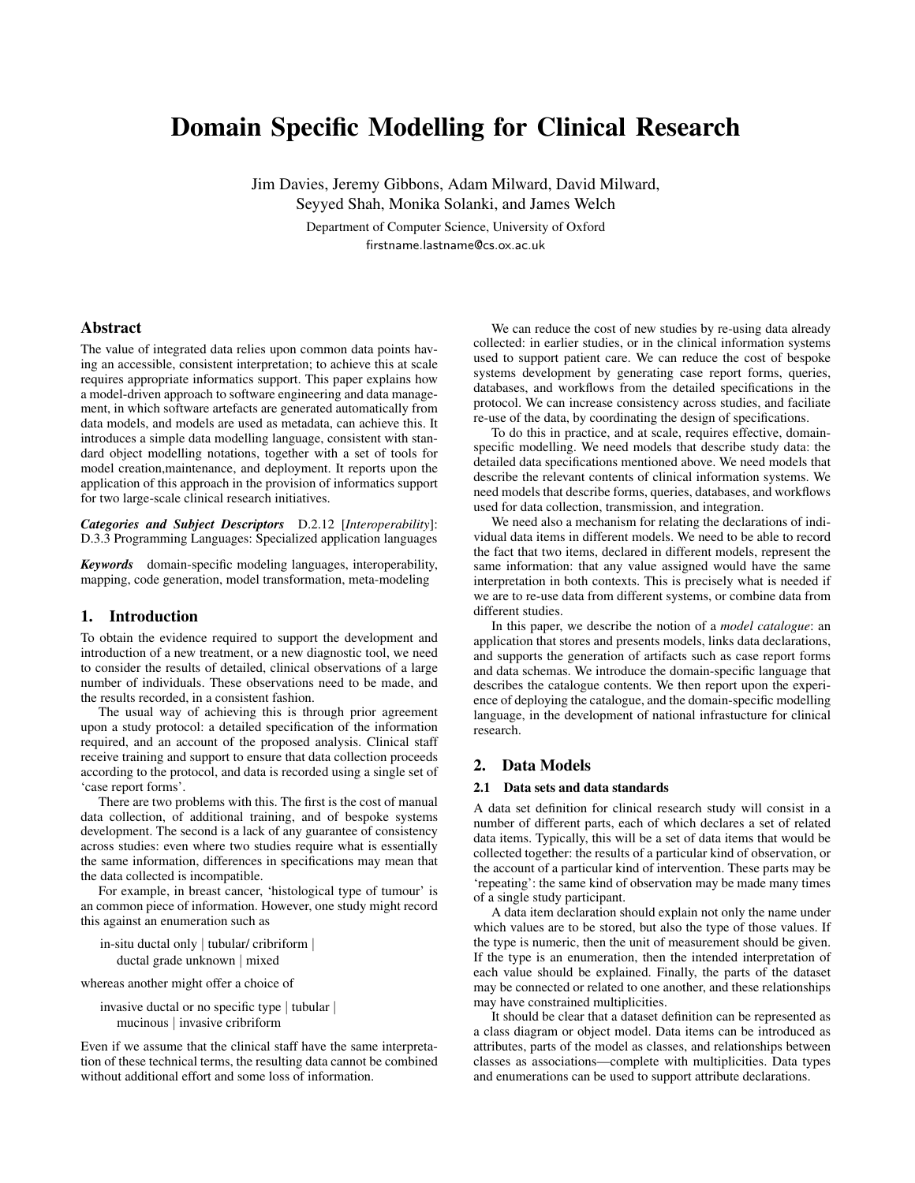# Domain Specific Modelling for Clinical Research

Jim Davies, Jeremy Gibbons, Adam Milward, David Milward, Seyyed Shah, Monika Solanki, and James Welch

> Department of Computer Science, University of Oxford firstname.lastname@cs.ox.ac.uk

# Abstract

The value of integrated data relies upon common data points having an accessible, consistent interpretation; to achieve this at scale requires appropriate informatics support. This paper explains how a model-driven approach to software engineering and data management, in which software artefacts are generated automatically from data models, and models are used as metadata, can achieve this. It introduces a simple data modelling language, consistent with standard object modelling notations, together with a set of tools for model creation,maintenance, and deployment. It reports upon the application of this approach in the provision of informatics support for two large-scale clinical research initiatives.

*Categories and Subject Descriptors* D.2.12 [*Interoperability*]: D.3.3 Programming Languages: Specialized application languages

*Keywords* domain-specific modeling languages, interoperability, mapping, code generation, model transformation, meta-modeling

# 1. Introduction

To obtain the evidence required to support the development and introduction of a new treatment, or a new diagnostic tool, we need to consider the results of detailed, clinical observations of a large number of individuals. These observations need to be made, and the results recorded, in a consistent fashion.

The usual way of achieving this is through prior agreement upon a study protocol: a detailed specification of the information required, and an account of the proposed analysis. Clinical staff receive training and support to ensure that data collection proceeds according to the protocol, and data is recorded using a single set of 'case report forms'.

There are two problems with this. The first is the cost of manual data collection, of additional training, and of bespoke systems development. The second is a lack of any guarantee of consistency across studies: even where two studies require what is essentially the same information, differences in specifications may mean that the data collected is incompatible.

For example, in breast cancer, 'histological type of tumour' is an common piece of information. However, one study might record this against an enumeration such as

in-situ ductal only | tubular/ cribriform | ductal grade unknown | mixed

whereas another might offer a choice of

invasive ductal or no specific type | tubular | mucinous | invasive cribriform

Even if we assume that the clinical staff have the same interpretation of these technical terms, the resulting data cannot be combined without additional effort and some loss of information.

We can reduce the cost of new studies by re-using data already collected: in earlier studies, or in the clinical information systems used to support patient care. We can reduce the cost of bespoke systems development by generating case report forms, queries, databases, and workflows from the detailed specifications in the protocol. We can increase consistency across studies, and faciliate re-use of the data, by coordinating the design of specifications.

To do this in practice, and at scale, requires effective, domainspecific modelling. We need models that describe study data: the detailed data specifications mentioned above. We need models that describe the relevant contents of clinical information systems. We need models that describe forms, queries, databases, and workflows used for data collection, transmission, and integration.

We need also a mechanism for relating the declarations of individual data items in different models. We need to be able to record the fact that two items, declared in different models, represent the same information: that any value assigned would have the same interpretation in both contexts. This is precisely what is needed if we are to re-use data from different systems, or combine data from different studies.

In this paper, we describe the notion of a *model catalogue*: an application that stores and presents models, links data declarations, and supports the generation of artifacts such as case report forms and data schemas. We introduce the domain-specific language that describes the catalogue contents. We then report upon the experience of deploying the catalogue, and the domain-specific modelling language, in the development of national infrastucture for clinical research.

# 2. Data Models

## 2.1 Data sets and data standards

A data set definition for clinical research study will consist in a number of different parts, each of which declares a set of related data items. Typically, this will be a set of data items that would be collected together: the results of a particular kind of observation, or the account of a particular kind of intervention. These parts may be 'repeating': the same kind of observation may be made many times of a single study participant.

A data item declaration should explain not only the name under which values are to be stored, but also the type of those values. If the type is numeric, then the unit of measurement should be given. If the type is an enumeration, then the intended interpretation of each value should be explained. Finally, the parts of the dataset may be connected or related to one another, and these relationships may have constrained multiplicities.

It should be clear that a dataset definition can be represented as a class diagram or object model. Data items can be introduced as attributes, parts of the model as classes, and relationships between classes as associations—complete with multiplicities. Data types and enumerations can be used to support attribute declarations.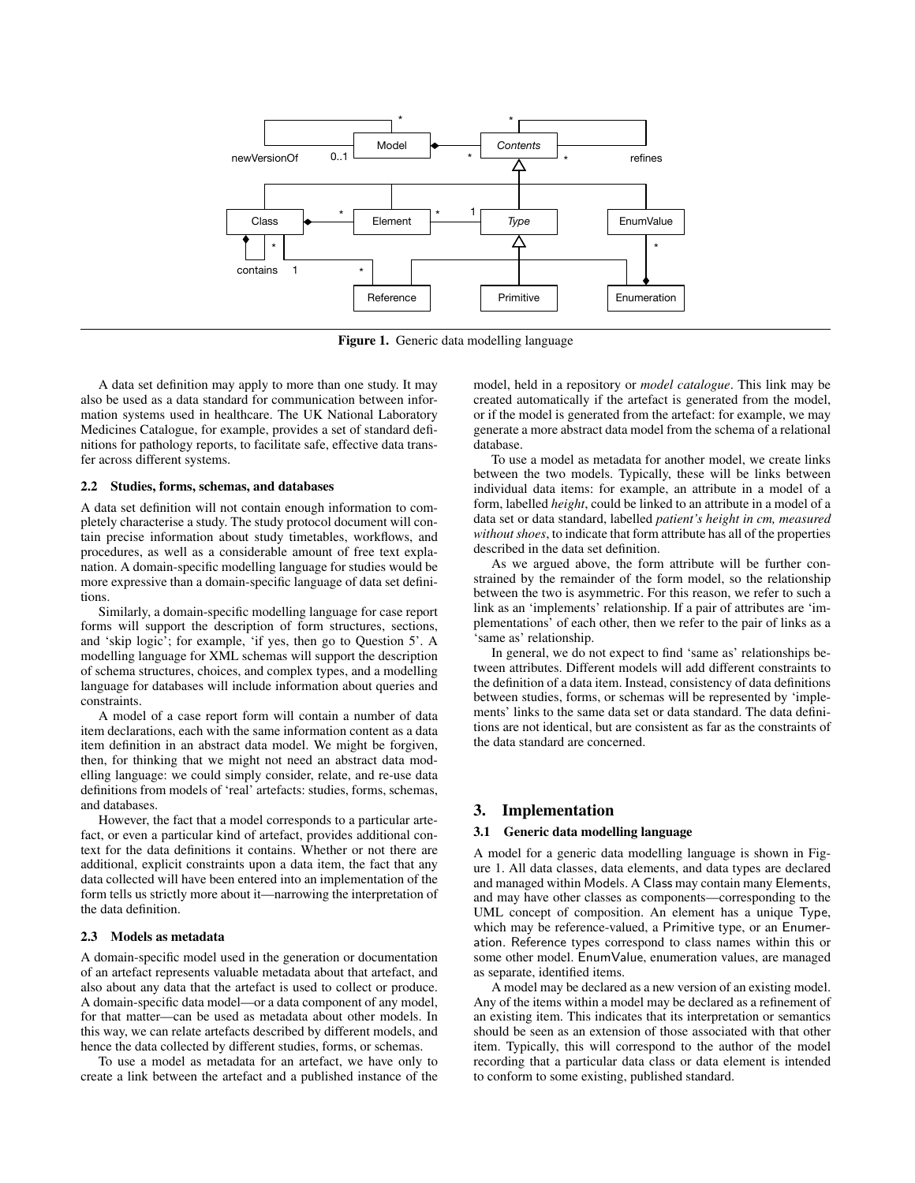

Figure 1. Generic data modelling language

A data set definition may apply to more than one study. It may also be used as a data standard for communication between information systems used in healthcare. The UK National Laboratory Medicines Catalogue, for example, provides a set of standard definitions for pathology reports, to facilitate safe, effective data transfer across different systems.

## 2.2 Studies, forms, schemas, and databases

A data set definition will not contain enough information to completely characterise a study. The study protocol document will contain precise information about study timetables, workflows, and procedures, as well as a considerable amount of free text explanation. A domain-specific modelling language for studies would be more expressive than a domain-specific language of data set definitions.

Similarly, a domain-specific modelling language for case report forms will support the description of form structures, sections, and 'skip logic'; for example, 'if yes, then go to Question 5'. A modelling language for XML schemas will support the description of schema structures, choices, and complex types, and a modelling language for databases will include information about queries and constraints.

A model of a case report form will contain a number of data item declarations, each with the same information content as a data item definition in an abstract data model. We might be forgiven, then, for thinking that we might not need an abstract data modelling language: we could simply consider, relate, and re-use data definitions from models of 'real' artefacts: studies, forms, schemas, and databases.

However, the fact that a model corresponds to a particular artefact, or even a particular kind of artefact, provides additional context for the data definitions it contains. Whether or not there are additional, explicit constraints upon a data item, the fact that any data collected will have been entered into an implementation of the form tells us strictly more about it—narrowing the interpretation of the data definition.

# 2.3 Models as metadata

A domain-specific model used in the generation or documentation of an artefact represents valuable metadata about that artefact, and also about any data that the artefact is used to collect or produce. A domain-specific data model—or a data component of any model, for that matter—can be used as metadata about other models. In this way, we can relate artefacts described by different models, and hence the data collected by different studies, forms, or schemas.

To use a model as metadata for an artefact, we have only to create a link between the artefact and a published instance of the model, held in a repository or *model catalogue*. This link may be created automatically if the artefact is generated from the model, or if the model is generated from the artefact: for example, we may generate a more abstract data model from the schema of a relational database.

To use a model as metadata for another model, we create links between the two models. Typically, these will be links between individual data items: for example, an attribute in a model of a form, labelled *height*, could be linked to an attribute in a model of a data set or data standard, labelled *patient's height in cm, measured without shoes*, to indicate that form attribute has all of the properties described in the data set definition.

As we argued above, the form attribute will be further constrained by the remainder of the form model, so the relationship between the two is asymmetric. For this reason, we refer to such a link as an 'implements' relationship. If a pair of attributes are 'implementations' of each other, then we refer to the pair of links as a 'same as' relationship.

In general, we do not expect to find 'same as' relationships between attributes. Different models will add different constraints to the definition of a data item. Instead, consistency of data definitions between studies, forms, or schemas will be represented by 'implements' links to the same data set or data standard. The data definitions are not identical, but are consistent as far as the constraints of the data standard are concerned.

## 3. Implementation

## 3.1 Generic data modelling language

A model for a generic data modelling language is shown in Figure 1. All data classes, data elements, and data types are declared and managed within Models. A Class may contain many Elements, and may have other classes as components—corresponding to the UML concept of composition. An element has a unique Type, which may be reference-valued, a Primitive type, or an Enumeration. Reference types correspond to class names within this or some other model. EnumValue, enumeration values, are managed as separate, identified items.

A model may be declared as a new version of an existing model. Any of the items within a model may be declared as a refinement of an existing item. This indicates that its interpretation or semantics should be seen as an extension of those associated with that other item. Typically, this will correspond to the author of the model recording that a particular data class or data element is intended to conform to some existing, published standard.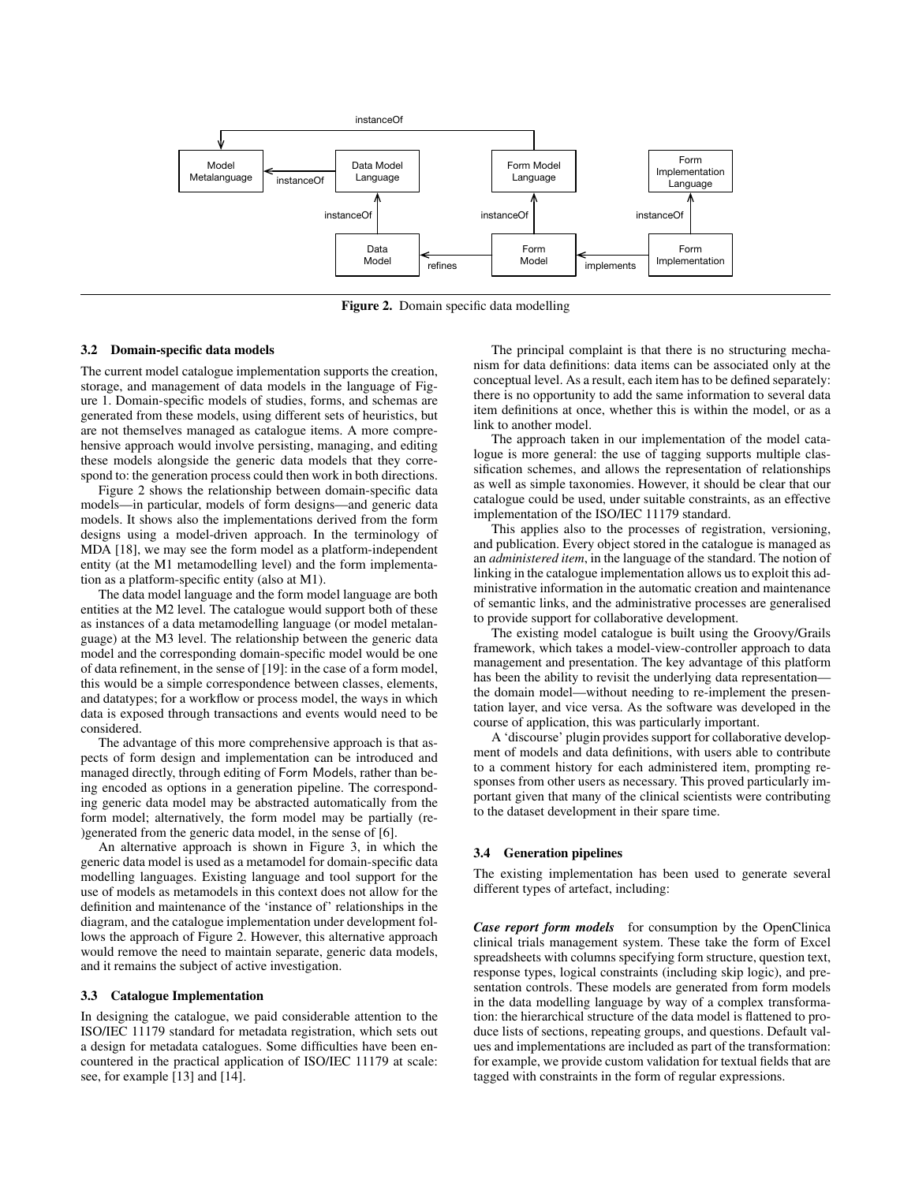

Figure 2. Domain specific data modelling

## 3.2 Domain-specific data models

The current model catalogue implementation supports the creation, storage, and management of data models in the language of Figure 1. Domain-specific models of studies, forms, and schemas are generated from these models, using different sets of heuristics, but are not themselves managed as catalogue items. A more comprehensive approach would involve persisting, managing, and editing these models alongside the generic data models that they correspond to: the generation process could then work in both directions.

Figure 2 shows the relationship between domain-specific data models—in particular, models of form designs—and generic data models. It shows also the implementations derived from the form designs using a model-driven approach. In the terminology of MDA [18], we may see the form model as a platform-independent entity (at the M1 metamodelling level) and the form implementation as a platform-specific entity (also at M1).

The data model language and the form model language are both entities at the M2 level. The catalogue would support both of these as instances of a data metamodelling language (or model metalanguage) at the M3 level. The relationship between the generic data model and the corresponding domain-specific model would be one of data refinement, in the sense of [19]: in the case of a form model, this would be a simple correspondence between classes, elements, and datatypes; for a workflow or process model, the ways in which data is exposed through transactions and events would need to be considered.

The advantage of this more comprehensive approach is that aspects of form design and implementation can be introduced and managed directly, through editing of Form Models, rather than being encoded as options in a generation pipeline. The corresponding generic data model may be abstracted automatically from the form model; alternatively, the form model may be partially (re- )generated from the generic data model, in the sense of [6].

An alternative approach is shown in Figure 3, in which the generic data model is used as a metamodel for domain-specific data modelling languages. Existing language and tool support for the use of models as metamodels in this context does not allow for the definition and maintenance of the 'instance of' relationships in the diagram, and the catalogue implementation under development follows the approach of Figure 2. However, this alternative approach would remove the need to maintain separate, generic data models, and it remains the subject of active investigation.

#### 3.3 Catalogue Implementation

In designing the catalogue, we paid considerable attention to the ISO/IEC 11179 standard for metadata registration, which sets out a design for metadata catalogues. Some difficulties have been encountered in the practical application of ISO/IEC 11179 at scale: see, for example [13] and [14].

The principal complaint is that there is no structuring mechanism for data definitions: data items can be associated only at the conceptual level. As a result, each item has to be defined separately: there is no opportunity to add the same information to several data item definitions at once, whether this is within the model, or as a link to another model.

The approach taken in our implementation of the model catalogue is more general: the use of tagging supports multiple classification schemes, and allows the representation of relationships as well as simple taxonomies. However, it should be clear that our catalogue could be used, under suitable constraints, as an effective implementation of the ISO/IEC 11179 standard.

This applies also to the processes of registration, versioning, and publication. Every object stored in the catalogue is managed as an *administered item*, in the language of the standard. The notion of linking in the catalogue implementation allows us to exploit this administrative information in the automatic creation and maintenance of semantic links, and the administrative processes are generalised to provide support for collaborative development.

The existing model catalogue is built using the Groovy/Grails framework, which takes a model-view-controller approach to data management and presentation. The key advantage of this platform has been the ability to revisit the underlying data representation the domain model—without needing to re-implement the presentation layer, and vice versa. As the software was developed in the course of application, this was particularly important.

A 'discourse' plugin provides support for collaborative development of models and data definitions, with users able to contribute to a comment history for each administered item, prompting responses from other users as necessary. This proved particularly important given that many of the clinical scientists were contributing to the dataset development in their spare time.

#### 3.4 Generation pipelines

The existing implementation has been used to generate several different types of artefact, including:

*Case report form models* for consumption by the OpenClinica clinical trials management system. These take the form of Excel spreadsheets with columns specifying form structure, question text, response types, logical constraints (including skip logic), and presentation controls. These models are generated from form models in the data modelling language by way of a complex transformation: the hierarchical structure of the data model is flattened to produce lists of sections, repeating groups, and questions. Default values and implementations are included as part of the transformation: for example, we provide custom validation for textual fields that are tagged with constraints in the form of regular expressions.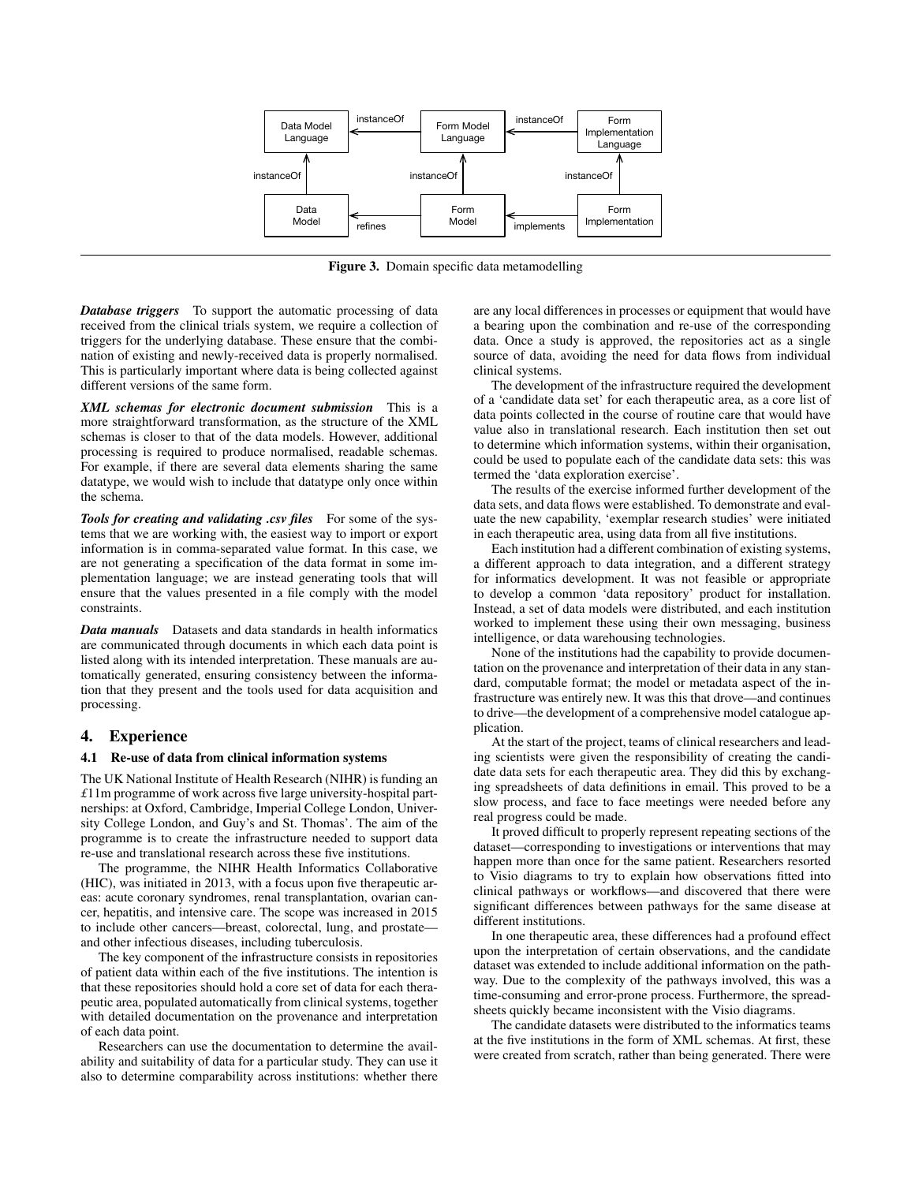

Figure 3. Domain specific data metamodelling

*Database triggers* To support the automatic processing of data received from the clinical trials system, we require a collection of triggers for the underlying database. These ensure that the combination of existing and newly-received data is properly normalised. This is particularly important where data is being collected against different versions of the same form.

*XML schemas for electronic document submission* This is a more straightforward transformation, as the structure of the XML schemas is closer to that of the data models. However, additional processing is required to produce normalised, readable schemas. For example, if there are several data elements sharing the same datatype, we would wish to include that datatype only once within the schema.

*Tools for creating and validating .csv files* For some of the systems that we are working with, the easiest way to import or export information is in comma-separated value format. In this case, we are not generating a specification of the data format in some implementation language; we are instead generating tools that will ensure that the values presented in a file comply with the model constraints.

*Data manuals* Datasets and data standards in health informatics are communicated through documents in which each data point is listed along with its intended interpretation. These manuals are automatically generated, ensuring consistency between the information that they present and the tools used for data acquisition and processing.

## 4. Experience

### 4.1 Re-use of data from clinical information systems

The UK National Institute of Health Research (NIHR) is funding an *£*11m programme of work across five large university-hospital partnerships: at Oxford, Cambridge, Imperial College London, University College London, and Guy's and St. Thomas'. The aim of the programme is to create the infrastructure needed to support data re-use and translational research across these five institutions.

The programme, the NIHR Health Informatics Collaborative (HIC), was initiated in 2013, with a focus upon five therapeutic areas: acute coronary syndromes, renal transplantation, ovarian cancer, hepatitis, and intensive care. The scope was increased in 2015 to include other cancers—breast, colorectal, lung, and prostate and other infectious diseases, including tuberculosis.

The key component of the infrastructure consists in repositories of patient data within each of the five institutions. The intention is that these repositories should hold a core set of data for each therapeutic area, populated automatically from clinical systems, together with detailed documentation on the provenance and interpretation of each data point.

Researchers can use the documentation to determine the availability and suitability of data for a particular study. They can use it also to determine comparability across institutions: whether there are any local differences in processes or equipment that would have a bearing upon the combination and re-use of the corresponding data. Once a study is approved, the repositories act as a single source of data, avoiding the need for data flows from individual clinical systems.

The development of the infrastructure required the development of a 'candidate data set' for each therapeutic area, as a core list of data points collected in the course of routine care that would have value also in translational research. Each institution then set out to determine which information systems, within their organisation, could be used to populate each of the candidate data sets: this was termed the 'data exploration exercise'.

The results of the exercise informed further development of the data sets, and data flows were established. To demonstrate and evaluate the new capability, 'exemplar research studies' were initiated in each therapeutic area, using data from all five institutions.

Each institution had a different combination of existing systems, a different approach to data integration, and a different strategy for informatics development. It was not feasible or appropriate to develop a common 'data repository' product for installation. Instead, a set of data models were distributed, and each institution worked to implement these using their own messaging, business intelligence, or data warehousing technologies.

None of the institutions had the capability to provide documentation on the provenance and interpretation of their data in any standard, computable format; the model or metadata aspect of the infrastructure was entirely new. It was this that drove—and continues to drive—the development of a comprehensive model catalogue application.

At the start of the project, teams of clinical researchers and leading scientists were given the responsibility of creating the candidate data sets for each therapeutic area. They did this by exchanging spreadsheets of data definitions in email. This proved to be a slow process, and face to face meetings were needed before any real progress could be made.

It proved difficult to properly represent repeating sections of the dataset—corresponding to investigations or interventions that may happen more than once for the same patient. Researchers resorted to Visio diagrams to try to explain how observations fitted into clinical pathways or workflows—and discovered that there were significant differences between pathways for the same disease at different institutions.

In one therapeutic area, these differences had a profound effect upon the interpretation of certain observations, and the candidate dataset was extended to include additional information on the pathway. Due to the complexity of the pathways involved, this was a time-consuming and error-prone process. Furthermore, the spreadsheets quickly became inconsistent with the Visio diagrams.

The candidate datasets were distributed to the informatics teams at the five institutions in the form of XML schemas. At first, these were created from scratch, rather than being generated. There were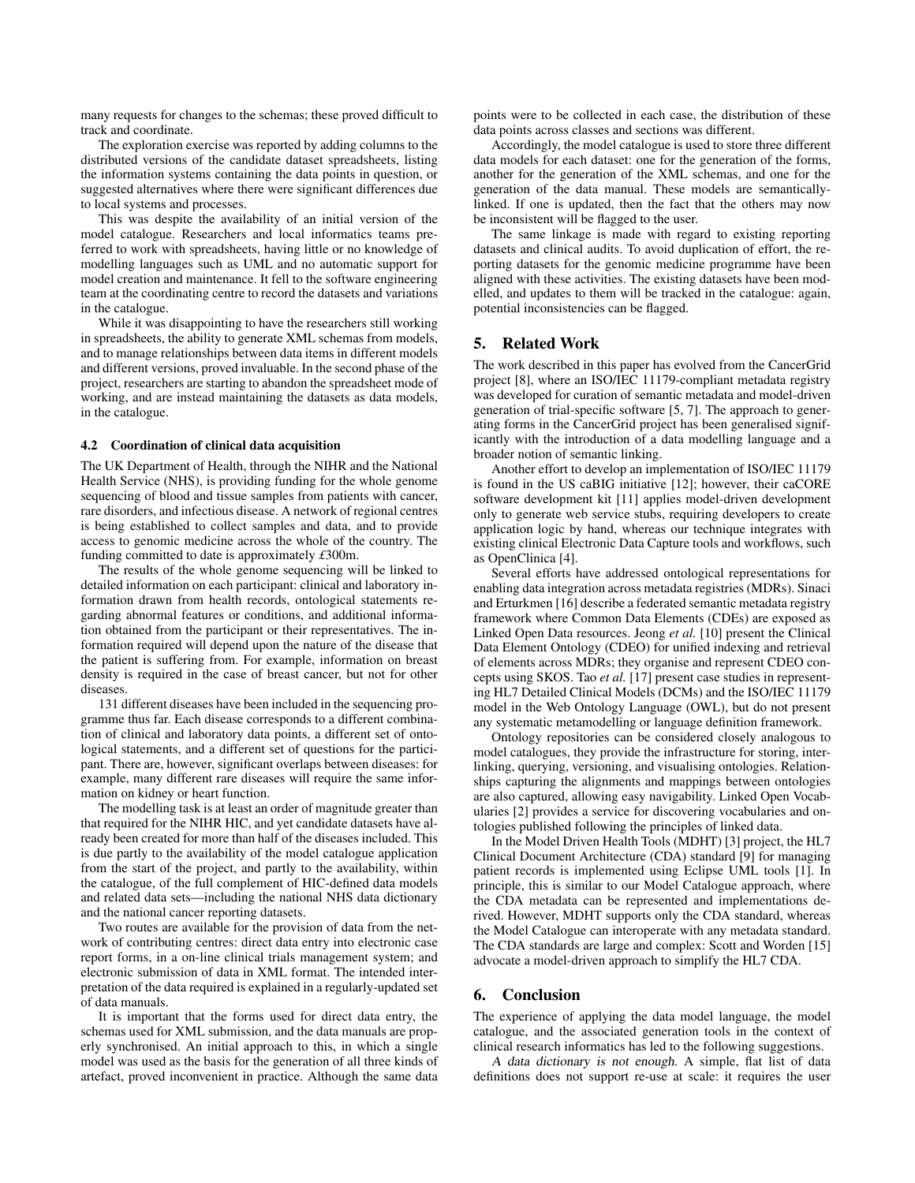many requests for changes to the schemas; these proved difficult to track and coordinate.

The exploration exercise was reported by adding columns to the distributed versions of the candidate dataset spreadsheets, listing the information systems containing the data points in question, or suggested alternatives where there were significant differences due to local systems and processes.

This was despite the availability of an initial version of the model catalogue. Researchers and local informatics teams preferred to work with spreadsheets, having little or no knowledge of modelling languages such as UML and no automatic support for model creation and maintenance. It fell to the software engineering team at the coordinating centre to record the datasets and variations in the catalogue.

While it was disappointing to have the researchers still working in spreadsheets, the ability to generate XML schemas from models, and to manage relationships between data items in different models and different versions, proved invaluable. In the second phase of the project, researchers are starting to abandon the spreadsheet mode of working, and are instead maintaining the datasets as data models, in the catalogue.

#### 4.2 Coordination of clinical data acquisition

The UK Department of Health, through the NIHR and the National Health Service (NHS), is providing funding for the whole genome sequencing of blood and tissue samples from patients with cancer, rare disorders, and infectious disease. A network of regional centres is being established to collect samples and data, and to provide access to genomic medicine across the whole of the country. The funding committed to date is approximately *£*300m.

The results of the whole genome sequencing will be linked to detailed information on each participant: clinical and laboratory information drawn from health records, ontological statements regarding abnormal features or conditions, and additional information obtained from the participant or their representatives. The information required will depend upon the nature of the disease that the patient is suffering from. For example, information on breast density is required in the case of breast cancer, but not for other diseases.

131 different diseases have been included in the sequencing programme thus far. Each disease corresponds to a different combination of clinical and laboratory data points, a different set of ontological statements, and a different set of questions for the participant. There are, however, significant overlaps between diseases: for example, many different rare diseases will require the same information on kidney or heart function.

The modelling task is at least an order of magnitude greater than that required for the NIHR HIC, and yet candidate datasets have already been created for more than half of the diseases included. This is due partly to the availability of the model catalogue application from the start of the project, and partly to the availability, within the catalogue, of the full complement of HIC-defined data models and related data sets—including the national NHS data dictionary and the national cancer reporting datasets.

Two routes are available for the provision of data from the network of contributing centres: direct data entry into electronic case report forms, in a on-line clinical trials management system; and electronic submission of data in XML format. The intended interpretation of the data required is explained in a regularly-updated set of data manuals.

It is important that the forms used for direct data entry, the schemas used for XML submission, and the data manuals are properly synchronised. An initial approach to this, in which a single model was used as the basis for the generation of all three kinds of artefact, proved inconvenient in practice. Although the same data points were to be collected in each case, the distribution of these data points across classes and sections was different.

Accordingly, the model catalogue is used to store three different data models for each dataset: one for the generation of the forms, another for the generation of the XML schemas, and one for the generation of the data manual. These models are semanticallylinked. If one is updated, then the fact that the others may now be inconsistent will be flagged to the user.

The same linkage is made with regard to existing reporting datasets and clinical audits. To avoid duplication of effort, the reporting datasets for the genomic medicine programme have been aligned with these activities. The existing datasets have been modelled, and updates to them will be tracked in the catalogue: again, potential inconsistencies can be flagged.

# 5. Related Work

The work described in this paper has evolved from the CancerGrid project [8], where an ISO/IEC 11179-compliant metadata registry was developed for curation of semantic metadata and model-driven generation of trial-specific software [5, 7]. The approach to generating forms in the CancerGrid project has been generalised significantly with the introduction of a data modelling language and a broader notion of semantic linking.

Another effort to develop an implementation of ISO/IEC 11179 is found in the US caBIG initiative [12]; however, their caCORE software development kit [11] applies model-driven development only to generate web service stubs, requiring developers to create application logic by hand, whereas our technique integrates with existing clinical Electronic Data Capture tools and workflows, such as OpenClinica [4].

Several efforts have addressed ontological representations for enabling data integration across metadata registries (MDRs). Sinaci and Erturkmen [16] describe a federated semantic metadata registry framework where Common Data Elements (CDEs) are exposed as Linked Open Data resources. Jeong *et al.* [10] present the Clinical Data Element Ontology (CDEO) for unified indexing and retrieval of elements across MDRs; they organise and represent CDEO concepts using SKOS. Tao *et al.* [17] present case studies in representing HL7 Detailed Clinical Models (DCMs) and the ISO/IEC 11179 model in the Web Ontology Language (OWL), but do not present any systematic metamodelling or language definition framework.

Ontology repositories can be considered closely analogous to model catalogues, they provide the infrastructure for storing, interlinking, querying, versioning, and visualising ontologies. Relationships capturing the alignments and mappings between ontologies are also captured, allowing easy navigability. Linked Open Vocabularies [2] provides a service for discovering vocabularies and ontologies published following the principles of linked data.

In the Model Driven Health Tools (MDHT) [3] project, the HL7 Clinical Document Architecture (CDA) standard [9] for managing patient records is implemented using Eclipse UML tools [1]. In principle, this is similar to our Model Catalogue approach, where the CDA metadata can be represented and implementations derived. However, MDHT supports only the CDA standard, whereas the Model Catalogue can interoperate with any metadata standard. The CDA standards are large and complex: Scott and Worden [15] advocate a model-driven approach to simplify the HL7 CDA.

## 6. Conclusion

The experience of applying the data model language, the model catalogue, and the associated generation tools in the context of clinical research informatics has led to the following suggestions.

A data dictionary is not enough. A simple, flat list of data definitions does not support re-use at scale: it requires the user